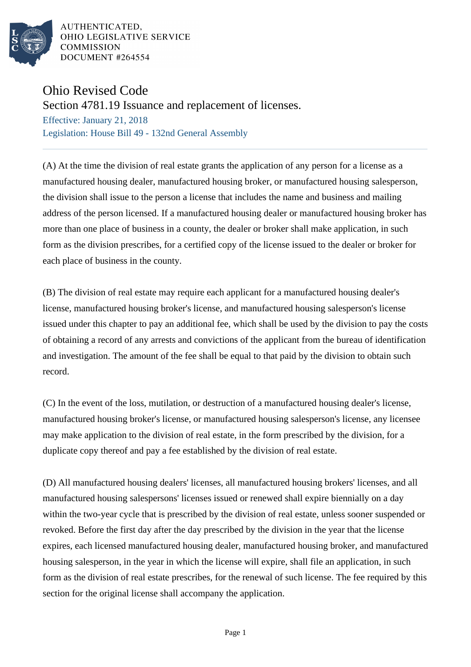

AUTHENTICATED, OHIO LEGISLATIVE SERVICE **COMMISSION** DOCUMENT #264554

## Ohio Revised Code

Section 4781.19 Issuance and replacement of licenses.

Effective: January 21, 2018 Legislation: House Bill 49 - 132nd General Assembly

(A) At the time the division of real estate grants the application of any person for a license as a manufactured housing dealer, manufactured housing broker, or manufactured housing salesperson, the division shall issue to the person a license that includes the name and business and mailing address of the person licensed. If a manufactured housing dealer or manufactured housing broker has more than one place of business in a county, the dealer or broker shall make application, in such form as the division prescribes, for a certified copy of the license issued to the dealer or broker for each place of business in the county.

(B) The division of real estate may require each applicant for a manufactured housing dealer's license, manufactured housing broker's license, and manufactured housing salesperson's license issued under this chapter to pay an additional fee, which shall be used by the division to pay the costs of obtaining a record of any arrests and convictions of the applicant from the bureau of identification and investigation. The amount of the fee shall be equal to that paid by the division to obtain such record.

(C) In the event of the loss, mutilation, or destruction of a manufactured housing dealer's license, manufactured housing broker's license, or manufactured housing salesperson's license, any licensee may make application to the division of real estate, in the form prescribed by the division, for a duplicate copy thereof and pay a fee established by the division of real estate.

(D) All manufactured housing dealers' licenses, all manufactured housing brokers' licenses, and all manufactured housing salespersons' licenses issued or renewed shall expire biennially on a day within the two-year cycle that is prescribed by the division of real estate, unless sooner suspended or revoked. Before the first day after the day prescribed by the division in the year that the license expires, each licensed manufactured housing dealer, manufactured housing broker, and manufactured housing salesperson, in the year in which the license will expire, shall file an application, in such form as the division of real estate prescribes, for the renewal of such license. The fee required by this section for the original license shall accompany the application.